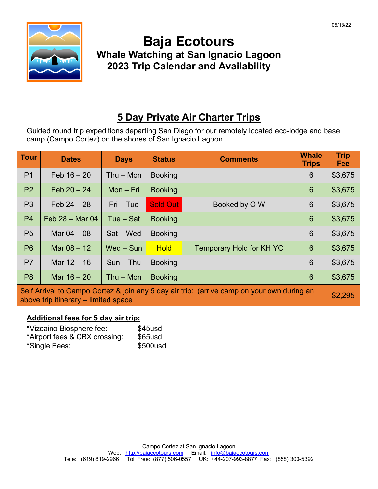

## **Baja Ecotours Whale Watching at San Ignacio Lagoon 2023 Trip Calendar and Availability**

#### **5 Day Private Air Charter Trips**

Guided round trip expeditions departing San Diego for our remotely located eco-lodge and base camp (Campo Cortez) on the shores of San Ignacio Lagoon.

| <b>Tour</b>                                                                                                                        | <b>Dates</b>      | <b>Days</b> | <b>Status</b>   | <b>Comments</b>          | <b>Whale</b><br><b>Trips</b> | <b>Trip</b><br>Fee |
|------------------------------------------------------------------------------------------------------------------------------------|-------------------|-------------|-----------------|--------------------------|------------------------------|--------------------|
| P <sub>1</sub>                                                                                                                     | $Feb 16 - 20$     | $Thu - Mon$ | <b>Booking</b>  |                          | 6                            | \$3,675            |
| P <sub>2</sub>                                                                                                                     | $Feb 20 - 24$     | $Mon - Fri$ | <b>Booking</b>  |                          | 6                            | \$3,675            |
| P <sub>3</sub>                                                                                                                     | $Feb 24 - 28$     | $Fri - Tue$ | <b>Sold Out</b> | Booked by OW             | 6                            | \$3,675            |
| P <sub>4</sub>                                                                                                                     | Feb $28 -$ Mar 04 | Tue - Sat   | <b>Booking</b>  |                          | 6                            | \$3,675            |
| P <sub>5</sub>                                                                                                                     | Mar $04 - 08$     | Sat – Wed   | <b>Booking</b>  |                          | 6                            | \$3,675            |
| P <sub>6</sub>                                                                                                                     | Mar $08 - 12$     | $Wed - Sun$ | <b>Hold</b>     | Temporary Hold for KH YC | 6                            | \$3,675            |
| P <sub>7</sub>                                                                                                                     | Mar $12 - 16$     | $Sun - Thu$ | <b>Booking</b>  |                          | 6                            | \$3,675            |
| P <sub>8</sub>                                                                                                                     | Mar $16 - 20$     | $Thu - Mon$ | <b>Booking</b>  |                          | 6                            | \$3,675            |
| Self Arrival to Campo Cortez & join any 5 day air trip: (arrive camp on your own during an<br>above trip itinerary – limited space |                   |             |                 |                          |                              |                    |

#### **Additional fees for 5 day air trip:**

| *Vizcaino Biosphere fee:      | \$45usd  |
|-------------------------------|----------|
| *Airport fees & CBX crossing: | \$65usd  |
| *Single Fees:                 | \$500usd |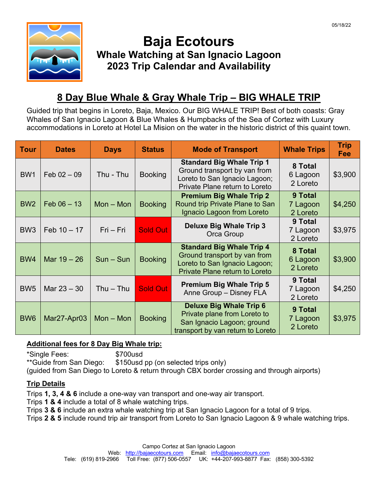

# **Baja Ecotours Whale Watching at San Ignacio Lagoon 2023 Trip Calendar and Availability**

## **8 Day Blue Whale & Gray Whale Trip – BIG WHALE TRIP**

Guided trip that begins in Loreto, Baja, Mexico. Our BIG WHALE TRIP! Best of both coasts: Gray Whales of San Ignacio Lagoon & Blue Whales & Humpbacks of the Sea of Cortez with Luxury accommodations in Loreto at Hotel La Mision on the water in the historic district of this quaint town.

| <b>Tour</b>     | <b>Dates</b>  | <b>Days</b> | <b>Status</b>   | <b>Mode of Transport</b>                                                                                                            | <b>Whale Trips</b>              | <b>Trip</b><br>Fee |
|-----------------|---------------|-------------|-----------------|-------------------------------------------------------------------------------------------------------------------------------------|---------------------------------|--------------------|
| BW <sub>1</sub> | Feb $02 - 09$ | Thu - Thu   | <b>Booking</b>  | <b>Standard Big Whale Trip 1</b><br>Ground transport by van from<br>Loreto to San Ignacio Lagoon;<br>Private Plane return to Loreto | 8 Total<br>6 Lagoon<br>2 Loreto | \$3,900            |
| BW <sub>2</sub> | $Feb 06 - 13$ | $Mon - Mon$ | <b>Booking</b>  | <b>Premium Big Whale Trip 2</b><br>Round trip Private Plane to San<br>Ignacio Lagoon from Loreto                                    | 9 Total<br>7 Lagoon<br>2 Loreto | \$4,250            |
| BW <sub>3</sub> | Feb $10 - 17$ | $Fri - Fri$ | <b>Sold Out</b> | <b>Deluxe Big Whale Trip 3</b><br>Orca Group                                                                                        | 9 Total<br>7 Lagoon<br>2 Loreto | \$3,975            |
| BW4             | Mar $19 - 26$ | $Sun - Sun$ | <b>Booking</b>  | <b>Standard Big Whale Trip 4</b><br>Ground transport by van from<br>Loreto to San Ignacio Lagoon;<br>Private Plane return to Loreto | 8 Total<br>6 Lagoon<br>2 Loreto | \$3,900            |
| BW <sub>5</sub> | Mar $23 - 30$ | $Thu - Thu$ | <b>Sold Out</b> | <b>Premium Big Whale Trip 5</b><br>Anne Group - Disney FLA                                                                          | 9 Total<br>7 Lagoon<br>2 Loreto | \$4,250            |
| BW <sub>6</sub> | Mar27-Apr03   | $Mon - Mon$ | <b>Booking</b>  | <b>Deluxe Big Whale Trip 6</b><br>Private plane from Loreto to<br>San Ignacio Lagoon; ground<br>transport by van return to Loreto   | 9 Total<br>7 Lagoon<br>2 Loreto | \$3,975            |

#### **Additional fees for 8 Day Big Whale trip:**

\*Single Fees: \$700usd \*\*Guide from San Diego: \$150usd pp (on selected trips only) (guided from San Diego to Loreto & return through CBX border crossing and through airports)

#### **Trip Details**

Trips **1, 3, 4 & 6** include a one-way van transport and one-way air transport.

Trips **1 & 4** include a total of 8 whale watching trips.

Trips **3 & 6** include an extra whale watching trip at San Ignacio Lagoon for a total of 9 trips.

Trips **2 & 5** include round trip air transport from Loreto to San Ignacio Lagoon & 9 whale watching trips.